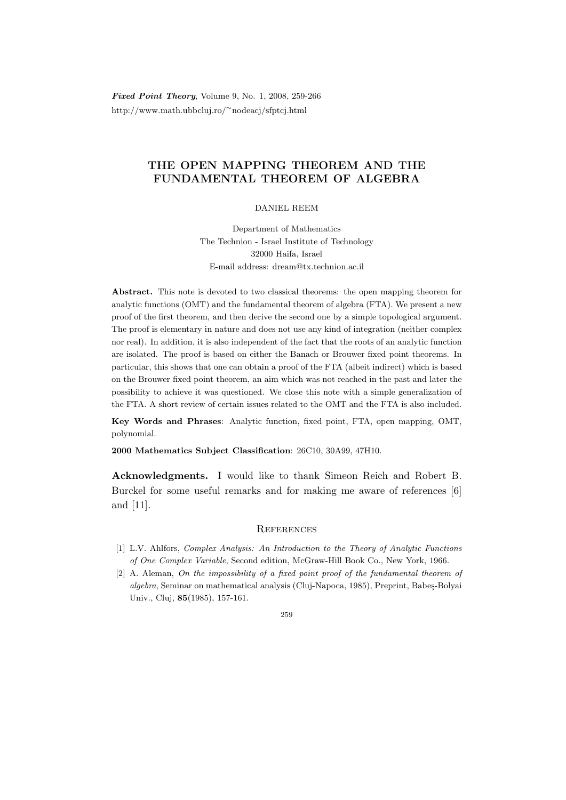Fixed Point Theory, Volume 9, No. 1, 2008, 259-266 http://www.math.ubbcluj.ro/<sup>∼</sup>nodeacj/sfptcj.html

## THE OPEN MAPPING THEOREM AND THE FUNDAMENTAL THEOREM OF ALGEBRA

DANIEL REEM

Department of Mathematics The Technion - Israel Institute of Technology 32000 Haifa, Israel E-mail address: dream@tx.technion.ac.il

Abstract. This note is devoted to two classical theorems: the open mapping theorem for analytic functions (OMT) and the fundamental theorem of algebra (FTA). We present a new proof of the first theorem, and then derive the second one by a simple topological argument. The proof is elementary in nature and does not use any kind of integration (neither complex nor real). In addition, it is also independent of the fact that the roots of an analytic function are isolated. The proof is based on either the Banach or Brouwer fixed point theorems. In particular, this shows that one can obtain a proof of the FTA (albeit indirect) which is based on the Brouwer fixed point theorem, an aim which was not reached in the past and later the possibility to achieve it was questioned. We close this note with a simple generalization of the FTA. A short review of certain issues related to the OMT and the FTA is also included.

Key Words and Phrases: Analytic function, fixed point, FTA, open mapping, OMT, polynomial.

2000 Mathematics Subject Classification: 26C10, 30A99, 47H10.

Acknowledgments. I would like to thank Simeon Reich and Robert B. Burckel for some useful remarks and for making me aware of references [6] and [11].

## **REFERENCES**

- [1] L.V. Ahlfors, Complex Analysis: An Introduction to the Theory of Analytic Functions of One Complex Variable, Second edition, McGraw-Hill Book Co., New York, 1966.
- [2] A. Aleman, On the impossibility of a fixed point proof of the fundamental theorem of algebra, Seminar on mathematical analysis (Cluj-Napoca, 1985), Preprint, Babeş-Bolyai Univ., Cluj, 85(1985), 157-161.